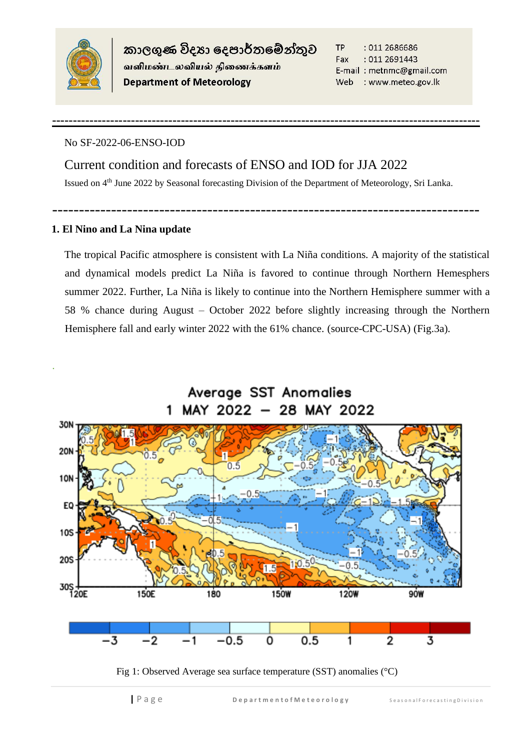

.

කාලගුණ විදහා දෙපාර්තමේන්තුව வளிமண்டலவியல் திணைக்களம் **Department of Meteorology** 

**TP** : 011 2686686 Fax : 011 2691443 E-mail: metnmc@gmail.com Web : www.meteo.gov.lk

## No SF-2022-06-ENSO-IOD

Current condition and forecasts of ENSO and IOD for JJA 2022 Issued on 4<sup>th</sup> June 2022 by Seasonal forecasting Division of the Department of Meteorology, Sri Lanka.

--------------------------------------------------------------------------------

**-------------------------------------------------------------------------------------------------------**

## **1. El Nino and La Nina update**

The tropical Pacific atmosphere is consistent with La Niña conditions. A majority of the statistical and dynamical models predict La Niña is favored to continue through Northern Hemesphers summer 2022. Further, La Niña is likely to continue into the Northern Hemisphere summer with a 58 % chance during August – October 2022 before slightly increasing through the Northern Hemisphere fall and early winter 2022 with the 61% chance. (source-CPC-USA) (Fig.3a).

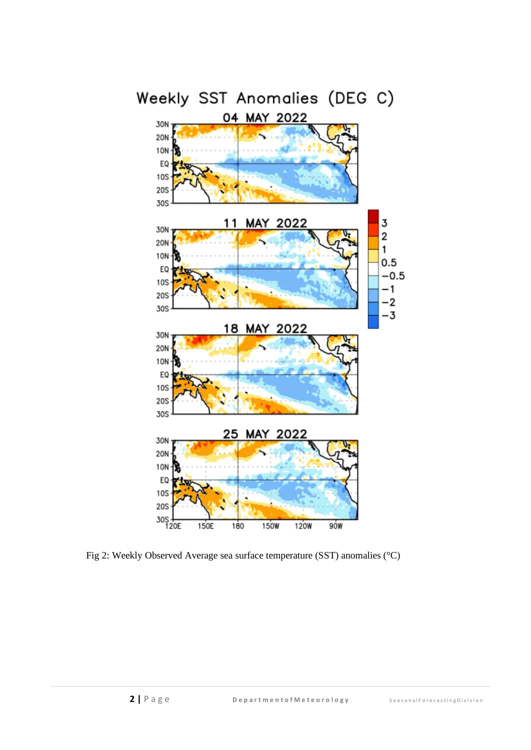

Fig 2: Weekly Observed Average sea surface temperature (SST) anomalies (°C)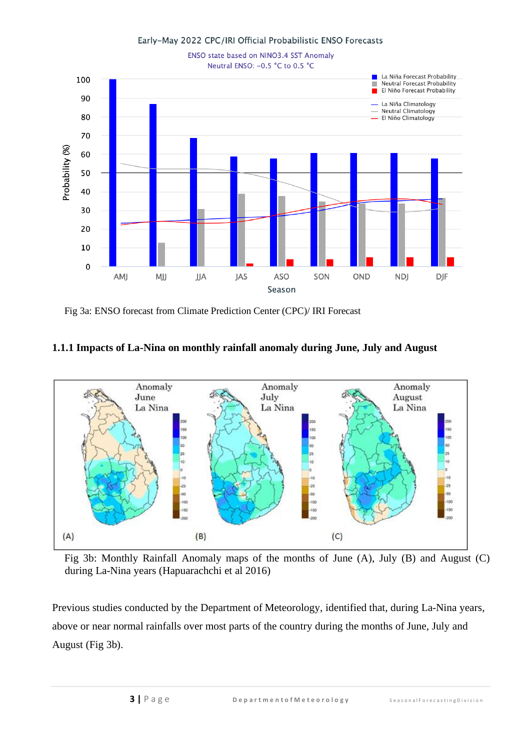

Fig 3a: ENSO forecast from Climate Prediction Center (CPC)/ IRI Forecast

## **1.1.1 Impacts of La-Nina on monthly rainfall anomaly during June, July and August**



Fig 3b: Monthly Rainfall Anomaly maps of the months of June (A), July (B) and August (C) during La-Nina years (Hapuarachchi et al 2016)

Previous studies conducted by the Department of Meteorology, identified that, during La-Nina years, above or near normal rainfalls over most parts of the country during the months of June, July and August (Fig 3b).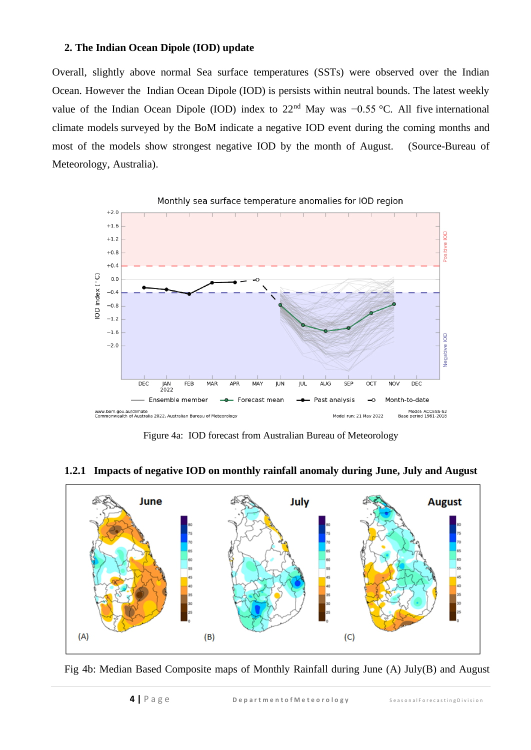## **2. The Indian Ocean Dipole (IOD) update**

Overall, slightly above normal Sea surface temperatures (SSTs) were observed over the Indian Ocean. However the Indian Ocean Dipole (IOD) is persists within neutral bounds. The latest weekly value of the Indian Ocean Dipole (IOD) index to 22nd May was −0.55 °C. All five international climate models surveyed by the BoM indicate a negative IOD event during the coming months and most of the models show strongest negative IOD by the month of August. (Source-Bureau of Meteorology, Australia).



Figure 4a: IOD forecast from Australian Bureau of Meteorology



**1.2.1 Impacts of negative IOD on monthly rainfall anomaly during June, July and August**